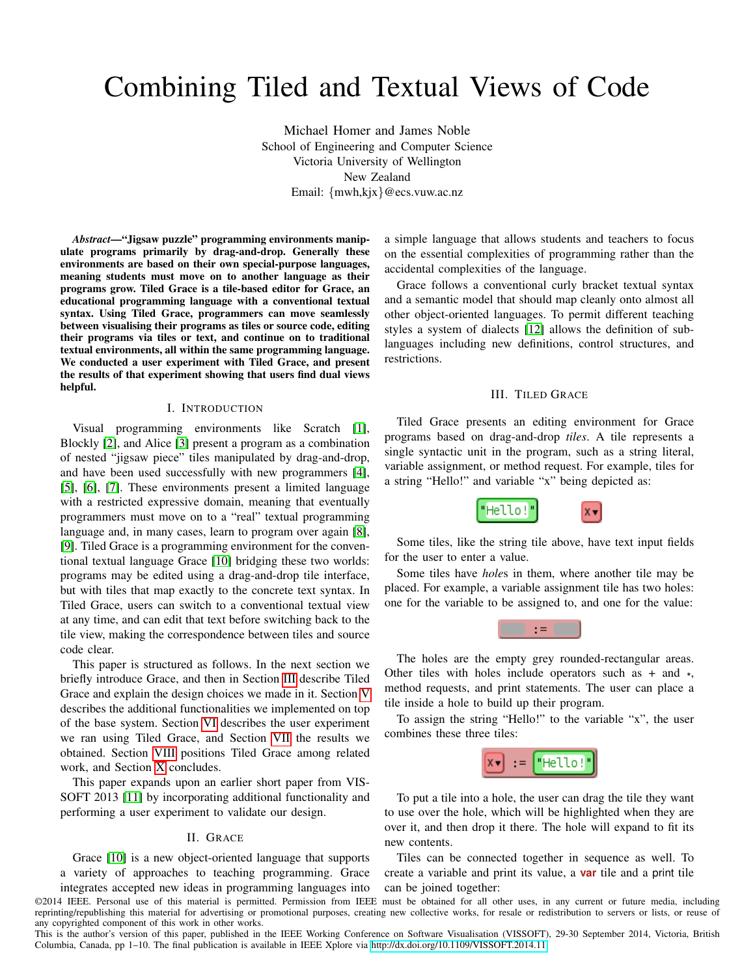# Combining Tiled and Textual Views of Code

Michael Homer and James Noble School of Engineering and Computer Science Victoria University of Wellington New Zealand Email: {mwh,kjx}@ecs.vuw.ac.nz

*Abstract*—"Jigsaw puzzle" programming environments manipulate programs primarily by drag-and-drop. Generally these environments are based on their own special-purpose languages, meaning students must move on to another language as their programs grow. Tiled Grace is a tile-based editor for Grace, an educational programming language with a conventional textual syntax. Using Tiled Grace, programmers can move seamlessly between visualising their programs as tiles or source code, editing their programs via tiles or text, and continue on to traditional textual environments, all within the same programming language. We conducted a user experiment with Tiled Grace, and present the results of that experiment showing that users find dual views helpful.

#### I. INTRODUCTION

Visual programming environments like Scratch [\[1\]](#page-9-0), Blockly [\[2\]](#page-9-1), and Alice [\[3\]](#page-9-2) present a program as a combination of nested "jigsaw piece" tiles manipulated by drag-and-drop, and have been used successfully with new programmers [\[4\]](#page-9-3), [\[5\]](#page-9-4), [\[6\]](#page-9-5), [\[7\]](#page-9-6). These environments present a limited language with a restricted expressive domain, meaning that eventually programmers must move on to a "real" textual programming language and, in many cases, learn to program over again [\[8\]](#page-9-7), [\[9\]](#page-9-8). Tiled Grace is a programming environment for the conventional textual language Grace [\[10\]](#page-9-9) bridging these two worlds: programs may be edited using a drag-and-drop tile interface, but with tiles that map exactly to the concrete text syntax. In Tiled Grace, users can switch to a conventional textual view at any time, and can edit that text before switching back to the tile view, making the correspondence between tiles and source code clear.

This paper is structured as follows. In the next section we briefly introduce Grace, and then in Section [III](#page-0-0) describe Tiled Grace and explain the design choices we made in it. Section [V](#page-2-0) describes the additional functionalities we implemented on top of the base system. Section [VI](#page-3-0) describes the user experiment we ran using Tiled Grace, and Section [VII](#page-5-0) the results we obtained. Section [VIII](#page-7-0) positions Tiled Grace among related work, and Section [X](#page-9-10) concludes.

This paper expands upon an earlier short paper from VIS-SOFT 2013 [\[11\]](#page-9-11) by incorporating additional functionality and performing a user experiment to validate our design.

## II. GRACE

Grace [\[10\]](#page-9-9) is a new object-oriented language that supports a variety of approaches to teaching programming. Grace integrates accepted new ideas in programming languages into a simple language that allows students and teachers to focus on the essential complexities of programming rather than the accidental complexities of the language.

Grace follows a conventional curly bracket textual syntax and a semantic model that should map cleanly onto almost all other object-oriented languages. To permit different teaching styles a system of dialects [\[12\]](#page-9-12) allows the definition of sublanguages including new definitions, control structures, and restrictions.

## III. TILED GRACE

<span id="page-0-0"></span>Tiled Grace presents an editing environment for Grace programs based on drag-and-drop *tiles*. A tile represents a single syntactic unit in the program, such as a string literal, variable assignment, or method request. For example, tiles for a string "Hello!" and variable "x" being depicted as:



Some tiles, like the string tile above, have text input fields for the user to enter a value.

Some tiles have *hole*s in them, where another tile may be placed. For example, a variable assignment tile has two holes: one for the variable to be assigned to, and one for the value:



The holes are the empty grey rounded-rectangular areas. Other tiles with holes include operators such as  $+$  and  $*$ , method requests, and print statements. The user can place a tile inside a hole to build up their program.

To assign the string "Hello!" to the variable "x", the user combines these three tiles:



To put a tile into a hole, the user can drag the tile they want to use over the hole, which will be highlighted when they are over it, and then drop it there. The hole will expand to fit its new contents.

Tiles can be connected together in sequence as well. To create a variable and print its value, a **var** tile and a print tile can be joined together:

©2014 IEEE. Personal use of this material is permitted. Permission from IEEE must be obtained for all other uses, in any current or future media, including reprinting/republishing this material for advertising or promotional purposes, creating new collective works, for resale or redistribution to servers or lists, or reuse of any copyrighted component of this work in other works.

This is the author's version of this paper, published in the IEEE Working Conference on Software Visualisation (VISSOFT), 29-30 September 2014, Victoria, British Columbia, Canada, pp 1–10. The final publication is available in IEEE Xplore via [http://dx.doi.org/10.1109/VISSOFT.2014.11.](http://dx.doi.org/10.1109/VISSOFT.2014.11)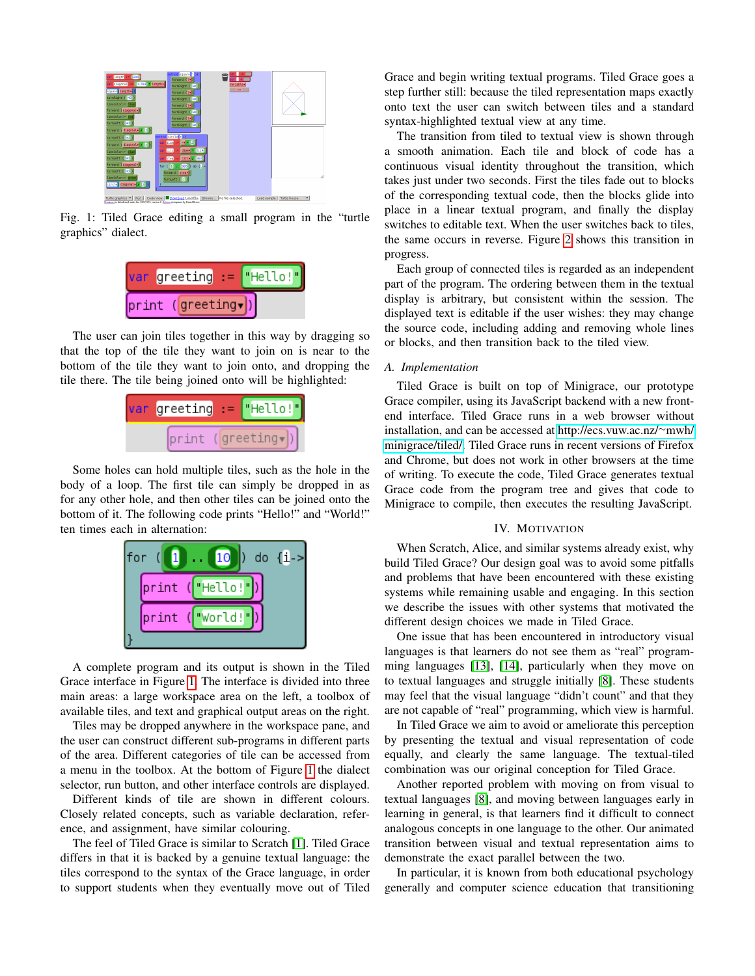<span id="page-1-0"></span>

Fig. 1: Tiled Grace editing a small program in the "turtle graphics" dialect.

| <mark>var </mark> greeting := <mark> </mark> | "Hello!" |
|----------------------------------------------|----------|
| $ print ( greeting_{v}) $                    |          |

The user can join tiles together in this way by dragging so that the top of the tile they want to join on is near to the bottom of the tile they want to join onto, and dropping the tile there. The tile being joined onto will be highlighted:



Some holes can hold multiple tiles, such as the hole in the body of a loop. The first tile can simply be dropped in as for any other hole, and then other tiles can be joined onto the bottom of it. The following code prints "Hello!" and "World!" ten times each in alternation:



A complete program and its output is shown in the Tiled Grace interface in Figure [1.](#page-1-0) The interface is divided into three main areas: a large workspace area on the left, a toolbox of available tiles, and text and graphical output areas on the right.

Tiles may be dropped anywhere in the workspace pane, and the user can construct different sub-programs in different parts of the area. Different categories of tile can be accessed from a menu in the toolbox. At the bottom of Figure [1](#page-1-0) the dialect selector, run button, and other interface controls are displayed.

Different kinds of tile are shown in different colours. Closely related concepts, such as variable declaration, reference, and assignment, have similar colouring.

The feel of Tiled Grace is similar to Scratch [\[1\]](#page-9-0). Tiled Grace differs in that it is backed by a genuine textual language: the tiles correspond to the syntax of the Grace language, in order to support students when they eventually move out of Tiled Grace and begin writing textual programs. Tiled Grace goes a step further still: because the tiled representation maps exactly onto text the user can switch between tiles and a standard syntax-highlighted textual view at any time.

The transition from tiled to textual view is shown through a smooth animation. Each tile and block of code has a continuous visual identity throughout the transition, which takes just under two seconds. First the tiles fade out to blocks of the corresponding textual code, then the blocks glide into place in a linear textual program, and finally the display switches to editable text. When the user switches back to tiles, the same occurs in reverse. Figure [2](#page-2-1) shows this transition in progress.

Each group of connected tiles is regarded as an independent part of the program. The ordering between them in the textual display is arbitrary, but consistent within the session. The displayed text is editable if the user wishes: they may change the source code, including adding and removing whole lines or blocks, and then transition back to the tiled view.

## *A. Implementation*

Tiled Grace is built on top of Minigrace, our prototype Grace compiler, using its JavaScript backend with a new frontend interface. Tiled Grace runs in a web browser without installation, and can be accessed at [http://ecs.vuw.ac.nz/](http://ecs.vuw.ac.nz/~mwh/minigrace/tiled/)<sup>∼</sup>mwh/ [minigrace/tiled/.](http://ecs.vuw.ac.nz/~mwh/minigrace/tiled/) Tiled Grace runs in recent versions of Firefox and Chrome, but does not work in other browsers at the time of writing. To execute the code, Tiled Grace generates textual Grace code from the program tree and gives that code to Minigrace to compile, then executes the resulting JavaScript.

# IV. MOTIVATION

When Scratch, Alice, and similar systems already exist, why build Tiled Grace? Our design goal was to avoid some pitfalls and problems that have been encountered with these existing systems while remaining usable and engaging. In this section we describe the issues with other systems that motivated the different design choices we made in Tiled Grace.

One issue that has been encountered in introductory visual languages is that learners do not see them as "real" programming languages [\[13\]](#page-9-13), [\[14\]](#page-9-14), particularly when they move on to textual languages and struggle initially [\[8\]](#page-9-7). These students may feel that the visual language "didn't count" and that they are not capable of "real" programming, which view is harmful.

In Tiled Grace we aim to avoid or ameliorate this perception by presenting the textual and visual representation of code equally, and clearly the same language. The textual-tiled combination was our original conception for Tiled Grace.

Another reported problem with moving on from visual to textual languages [\[8\]](#page-9-7), and moving between languages early in learning in general, is that learners find it difficult to connect analogous concepts in one language to the other. Our animated transition between visual and textual representation aims to demonstrate the exact parallel between the two.

In particular, it is known from both educational psychology generally and computer science education that transitioning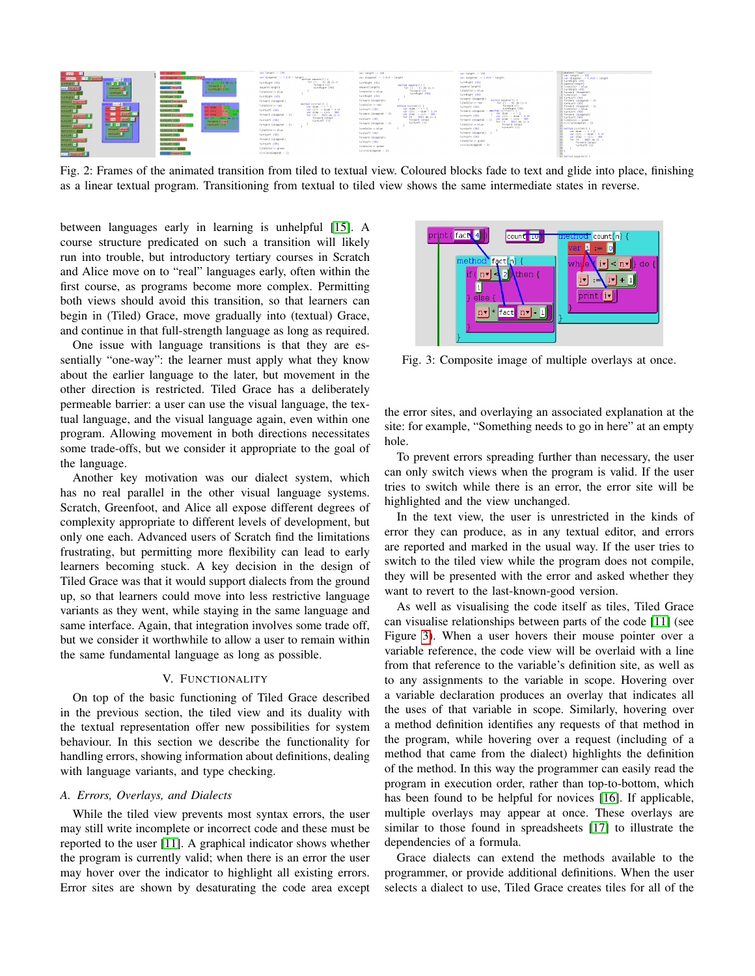<span id="page-2-1"></span>

Fig. 2: Frames of the animated transition from tiled to textual view. Coloured blocks fade to text and glide into place, finishing as a linear textual program. Transitioning from textual to tiled view shows the same intermediate states in reverse.

between languages early in learning is unhelpful [\[15\]](#page-9-15). A course structure predicated on such a transition will likely run into trouble, but introductory tertiary courses in Scratch and Alice move on to "real" languages early, often within the first course, as programs become more complex. Permitting both views should avoid this transition, so that learners can begin in (Tiled) Grace, move gradually into (textual) Grace, and continue in that full-strength language as long as required.

One issue with language transitions is that they are essentially "one-way": the learner must apply what they know about the earlier language to the later, but movement in the other direction is restricted. Tiled Grace has a deliberately permeable barrier: a user can use the visual language, the textual language, and the visual language again, even within one program. Allowing movement in both directions necessitates some trade-offs, but we consider it appropriate to the goal of the language.

Another key motivation was our dialect system, which has no real parallel in the other visual language systems. Scratch, Greenfoot, and Alice all expose different degrees of complexity appropriate to different levels of development, but only one each. Advanced users of Scratch find the limitations frustrating, but permitting more flexibility can lead to early learners becoming stuck. A key decision in the design of Tiled Grace was that it would support dialects from the ground up, so that learners could move into less restrictive language variants as they went, while staying in the same language and same interface. Again, that integration involves some trade off, but we consider it worthwhile to allow a user to remain within the same fundamental language as long as possible.

#### V. FUNCTIONALITY

<span id="page-2-0"></span>On top of the basic functioning of Tiled Grace described in the previous section, the tiled view and its duality with the textual representation offer new possibilities for system behaviour. In this section we describe the functionality for handling errors, showing information about definitions, dealing with language variants, and type checking.

## <span id="page-2-3"></span>*A. Errors, Overlays, and Dialects*

While the tiled view prevents most syntax errors, the user may still write incomplete or incorrect code and these must be reported to the user [\[11\]](#page-9-11). A graphical indicator shows whether the program is currently valid; when there is an error the user may hover over the indicator to highlight all existing errors. Error sites are shown by desaturating the code area except

<span id="page-2-2"></span>

Fig. 3: Composite image of multiple overlays at once.

the error sites, and overlaying an associated explanation at the site: for example, "Something needs to go in here" at an empty hole.

To prevent errors spreading further than necessary, the user can only switch views when the program is valid. If the user tries to switch while there is an error, the error site will be highlighted and the view unchanged.

In the text view, the user is unrestricted in the kinds of error they can produce, as in any textual editor, and errors are reported and marked in the usual way. If the user tries to switch to the tiled view while the program does not compile, they will be presented with the error and asked whether they want to revert to the last-known-good version.

As well as visualising the code itself as tiles, Tiled Grace can visualise relationships between parts of the code [\[11\]](#page-9-11) (see Figure [3\)](#page-2-2). When a user hovers their mouse pointer over a variable reference, the code view will be overlaid with a line from that reference to the variable's definition site, as well as to any assignments to the variable in scope. Hovering over a variable declaration produces an overlay that indicates all the uses of that variable in scope. Similarly, hovering over a method definition identifies any requests of that method in the program, while hovering over a request (including of a method that came from the dialect) highlights the definition of the method. In this way the programmer can easily read the program in execution order, rather than top-to-bottom, which has been found to be helpful for novices [\[16\]](#page-9-16). If applicable, multiple overlays may appear at once. These overlays are similar to those found in spreadsheets [\[17\]](#page-9-17) to illustrate the dependencies of a formula.

Grace dialects can extend the methods available to the programmer, or provide additional definitions. When the user selects a dialect to use, Tiled Grace creates tiles for all of the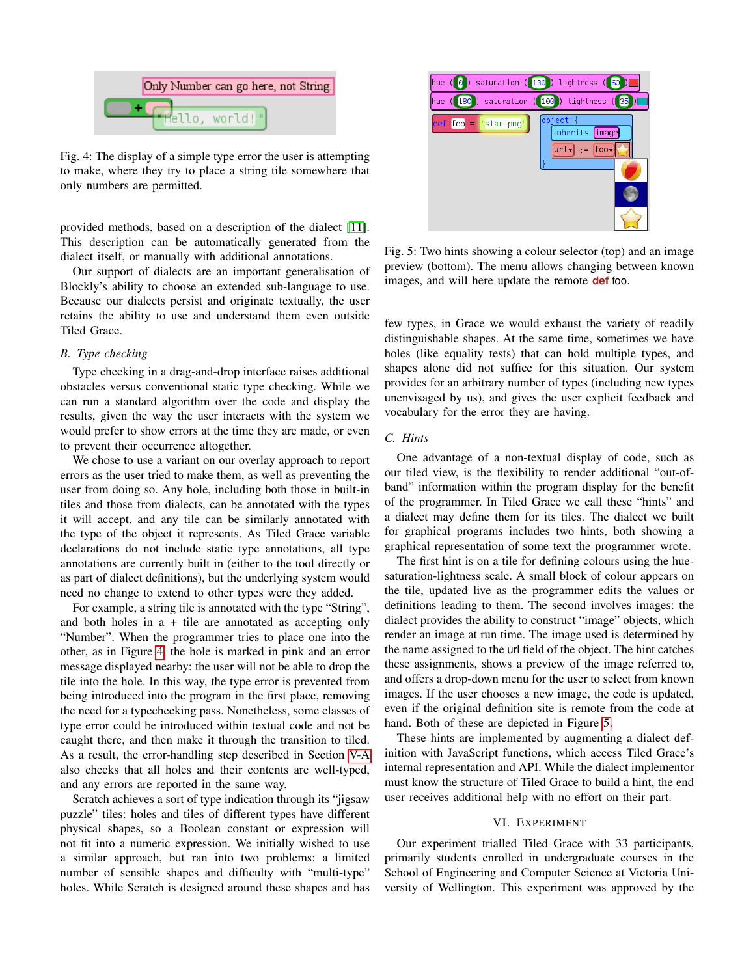<span id="page-3-1"></span>

Fig. 4: The display of a simple type error the user is attempting to make, where they try to place a string tile somewhere that only numbers are permitted.

provided methods, based on a description of the dialect [\[11\]](#page-9-11). This description can be automatically generated from the dialect itself, or manually with additional annotations.

Our support of dialects are an important generalisation of Blockly's ability to choose an extended sub-language to use. Because our dialects persist and originate textually, the user retains the ability to use and understand them even outside Tiled Grace.

#### *B. Type checking*

Type checking in a drag-and-drop interface raises additional obstacles versus conventional static type checking. While we can run a standard algorithm over the code and display the results, given the way the user interacts with the system we would prefer to show errors at the time they are made, or even to prevent their occurrence altogether.

We chose to use a variant on our overlay approach to report errors as the user tried to make them, as well as preventing the user from doing so. Any hole, including both those in built-in tiles and those from dialects, can be annotated with the types it will accept, and any tile can be similarly annotated with the type of the object it represents. As Tiled Grace variable declarations do not include static type annotations, all type annotations are currently built in (either to the tool directly or as part of dialect definitions), but the underlying system would need no change to extend to other types were they added.

For example, a string tile is annotated with the type "String", and both holes in  $a + t$ ile are annotated as accepting only "Number". When the programmer tries to place one into the other, as in Figure [4,](#page-3-1) the hole is marked in pink and an error message displayed nearby: the user will not be able to drop the tile into the hole. In this way, the type error is prevented from being introduced into the program in the first place, removing the need for a typechecking pass. Nonetheless, some classes of type error could be introduced within textual code and not be caught there, and then make it through the transition to tiled. As a result, the error-handling step described in Section [V-A](#page-2-3) also checks that all holes and their contents are well-typed, and any errors are reported in the same way.

Scratch achieves a sort of type indication through its "jigsaw puzzle" tiles: holes and tiles of different types have different physical shapes, so a Boolean constant or expression will not fit into a numeric expression. We initially wished to use a similar approach, but ran into two problems: a limited number of sensible shapes and difficulty with "multi-type" holes. While Scratch is designed around these shapes and has

<span id="page-3-2"></span>

Fig. 5: Two hints showing a colour selector (top) and an image preview (bottom). The menu allows changing between known images, and will here update the remote **def** foo.

few types, in Grace we would exhaust the variety of readily distinguishable shapes. At the same time, sometimes we have holes (like equality tests) that can hold multiple types, and shapes alone did not suffice for this situation. Our system provides for an arbitrary number of types (including new types unenvisaged by us), and gives the user explicit feedback and vocabulary for the error they are having.

# *C. Hints*

One advantage of a non-textual display of code, such as our tiled view, is the flexibility to render additional "out-ofband" information within the program display for the benefit of the programmer. In Tiled Grace we call these "hints" and a dialect may define them for its tiles. The dialect we built for graphical programs includes two hints, both showing a graphical representation of some text the programmer wrote.

The first hint is on a tile for defining colours using the huesaturation-lightness scale. A small block of colour appears on the tile, updated live as the programmer edits the values or definitions leading to them. The second involves images: the dialect provides the ability to construct "image" objects, which render an image at run time. The image used is determined by the name assigned to the url field of the object. The hint catches these assignments, shows a preview of the image referred to, and offers a drop-down menu for the user to select from known images. If the user chooses a new image, the code is updated, even if the original definition site is remote from the code at hand. Both of these are depicted in Figure [5.](#page-3-2)

These hints are implemented by augmenting a dialect definition with JavaScript functions, which access Tiled Grace's internal representation and API. While the dialect implementor must know the structure of Tiled Grace to build a hint, the end user receives additional help with no effort on their part.

## VI. EXPERIMENT

<span id="page-3-0"></span>Our experiment trialled Tiled Grace with 33 participants, primarily students enrolled in undergraduate courses in the School of Engineering and Computer Science at Victoria University of Wellington. This experiment was approved by the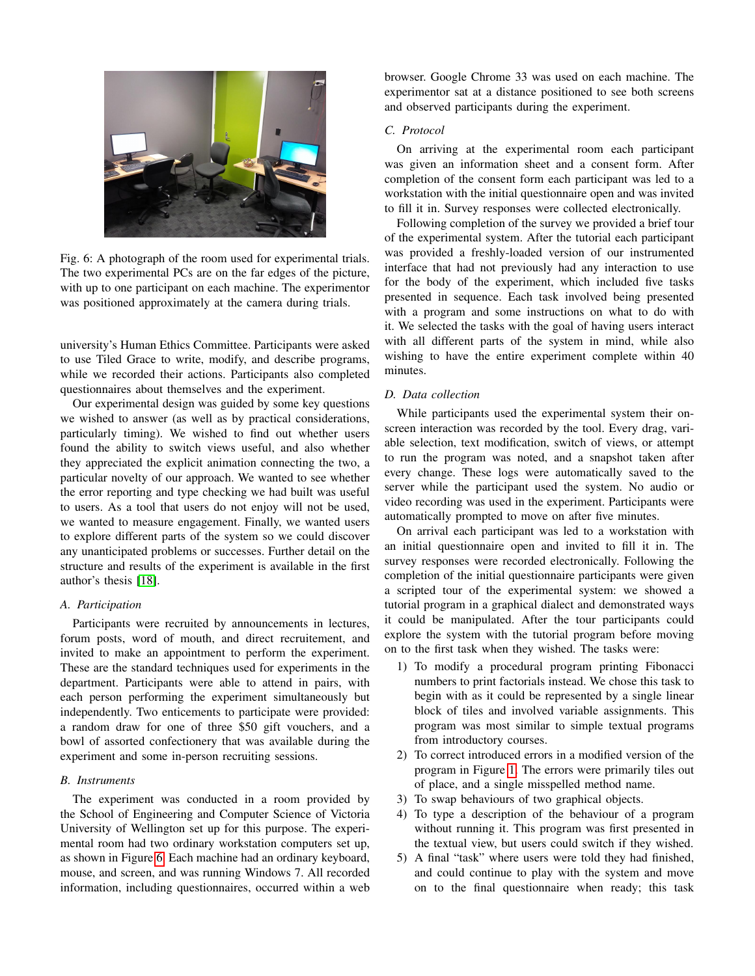<span id="page-4-0"></span>

Fig. 6: A photograph of the room used for experimental trials. The two experimental PCs are on the far edges of the picture, with up to one participant on each machine. The experimentor was positioned approximately at the camera during trials.

university's Human Ethics Committee. Participants were asked to use Tiled Grace to write, modify, and describe programs, while we recorded their actions. Participants also completed questionnaires about themselves and the experiment.

Our experimental design was guided by some key questions we wished to answer (as well as by practical considerations, particularly timing). We wished to find out whether users found the ability to switch views useful, and also whether they appreciated the explicit animation connecting the two, a particular novelty of our approach. We wanted to see whether the error reporting and type checking we had built was useful to users. As a tool that users do not enjoy will not be used, we wanted to measure engagement. Finally, we wanted users to explore different parts of the system so we could discover any unanticipated problems or successes. Further detail on the structure and results of the experiment is available in the first author's thesis [\[18\]](#page-9-18).

## *A. Participation*

Participants were recruited by announcements in lectures, forum posts, word of mouth, and direct recruitement, and invited to make an appointment to perform the experiment. These are the standard techniques used for experiments in the department. Participants were able to attend in pairs, with each person performing the experiment simultaneously but independently. Two enticements to participate were provided: a random draw for one of three \$50 gift vouchers, and a bowl of assorted confectionery that was available during the experiment and some in-person recruiting sessions.

## *B. Instruments*

The experiment was conducted in a room provided by the School of Engineering and Computer Science of Victoria University of Wellington set up for this purpose. The experimental room had two ordinary workstation computers set up, as shown in Figure [6.](#page-4-0) Each machine had an ordinary keyboard, mouse, and screen, and was running Windows 7. All recorded information, including questionnaires, occurred within a web browser. Google Chrome 33 was used on each machine. The experimentor sat at a distance positioned to see both screens and observed participants during the experiment.

## *C. Protocol*

On arriving at the experimental room each participant was given an information sheet and a consent form. After completion of the consent form each participant was led to a workstation with the initial questionnaire open and was invited to fill it in. Survey responses were collected electronically.

Following completion of the survey we provided a brief tour of the experimental system. After the tutorial each participant was provided a freshly-loaded version of our instrumented interface that had not previously had any interaction to use for the body of the experiment, which included five tasks presented in sequence. Each task involved being presented with a program and some instructions on what to do with it. We selected the tasks with the goal of having users interact with all different parts of the system in mind, while also wishing to have the entire experiment complete within 40 minutes.

# *D. Data collection*

While participants used the experimental system their onscreen interaction was recorded by the tool. Every drag, variable selection, text modification, switch of views, or attempt to run the program was noted, and a snapshot taken after every change. These logs were automatically saved to the server while the participant used the system. No audio or video recording was used in the experiment. Participants were automatically prompted to move on after five minutes.

On arrival each participant was led to a workstation with an initial questionnaire open and invited to fill it in. The survey responses were recorded electronically. Following the completion of the initial questionnaire participants were given a scripted tour of the experimental system: we showed a tutorial program in a graphical dialect and demonstrated ways it could be manipulated. After the tour participants could explore the system with the tutorial program before moving on to the first task when they wished. The tasks were:

- 1) To modify a procedural program printing Fibonacci numbers to print factorials instead. We chose this task to begin with as it could be represented by a single linear block of tiles and involved variable assignments. This program was most similar to simple textual programs from introductory courses.
- 2) To correct introduced errors in a modified version of the program in Figure [1.](#page-1-0) The errors were primarily tiles out of place, and a single misspelled method name.
- 3) To swap behaviours of two graphical objects.
- 4) To type a description of the behaviour of a program without running it. This program was first presented in the textual view, but users could switch if they wished.
- 5) A final "task" where users were told they had finished, and could continue to play with the system and move on to the final questionnaire when ready; this task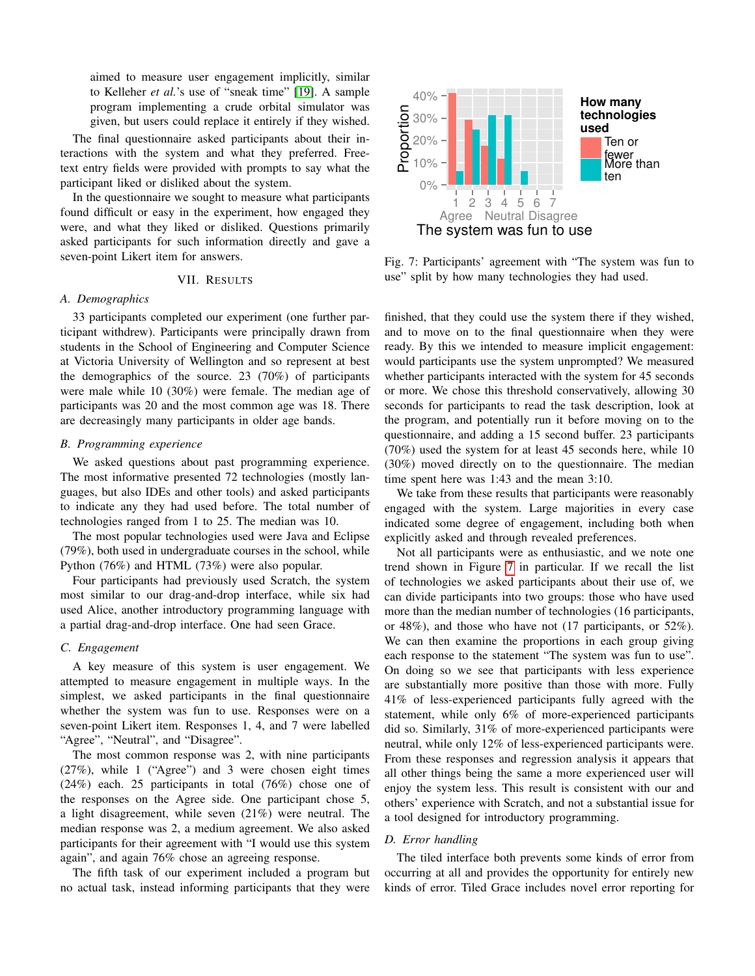aimed to measure user engagement implicitly, similar to Kelleher *et al.*'s use of "sneak time" [\[19\]](#page-9-19). A sample program implementing a crude orbital simulator was given, but users could replace it entirely if they wished.

The final questionnaire asked participants about their interactions with the system and what they preferred. Freetext entry fields were provided with prompts to say what the participant liked or disliked about the system.

In the questionnaire we sought to measure what participants found difficult or easy in the experiment, how engaged they were, and what they liked or disliked. Questions primarily asked participants for such information directly and gave a seven-point Likert item for answers.

## VII. RESULTS

#### <span id="page-5-0"></span>*A. Demographics*

33 participants completed our experiment (one further participant withdrew). Participants were principally drawn from students in the School of Engineering and Computer Science at Victoria University of Wellington and so represent at best the demographics of the source. 23 (70%) of participants were male while 10 (30%) were female. The median age of participants was 20 and the most common age was 18. There are decreasingly many participants in older age bands.

#### *B. Programming experience*

We asked questions about past programming experience. The most informative presented 72 technologies (mostly languages, but also IDEs and other tools) and asked participants to indicate any they had used before. The total number of technologies ranged from 1 to 25. The median was 10.

The most popular technologies used were Java and Eclipse (79%), both used in undergraduate courses in the school, while Python (76%) and HTML (73%) were also popular.

Four participants had previously used Scratch, the system most similar to our drag-and-drop interface, while six had used Alice, another introductory programming language with a partial drag-and-drop interface. One had seen Grace.

#### *C. Engagement*

A key measure of this system is user engagement. We attempted to measure engagement in multiple ways. In the simplest, we asked participants in the final questionnaire whether the system was fun to use. Responses were on a seven-point Likert item. Responses 1, 4, and 7 were labelled "Agree", "Neutral", and "Disagree".

The most common response was 2, with nine participants (27%), while 1 ("Agree") and 3 were chosen eight times (24%) each. 25 participants in total (76%) chose one of the responses on the Agree side. One participant chose 5, a light disagreement, while seven (21%) were neutral. The median response was 2, a medium agreement. We also asked participants for their agreement with "I would use this system again", and again 76% chose an agreeing response.

The fifth task of our experiment included a program but no actual task, instead informing participants that they were

<span id="page-5-1"></span>

Fig. 7: Participants' agreement with "The system was fun to use" split by how many technologies they had used.

finished, that they could use the system there if they wished, and to move on to the final questionnaire when they were ready. By this we intended to measure implicit engagement: would participants use the system unprompted? We measured whether participants interacted with the system for 45 seconds or more. We chose this threshold conservatively, allowing 30 seconds for participants to read the task description, look at the program, and potentially run it before moving on to the questionnaire, and adding a 15 second buffer. 23 participants (70%) used the system for at least 45 seconds here, while 10 (30%) moved directly on to the questionnaire. The median time spent here was 1:43 and the mean 3:10.

We take from these results that participants were reasonably engaged with the system. Large majorities in every case indicated some degree of engagement, including both when explicitly asked and through revealed preferences.

Not all participants were as enthusiastic, and we note one trend shown in Figure [7](#page-5-1) in particular. If we recall the list of technologies we asked participants about their use of, we can divide participants into two groups: those who have used more than the median number of technologies (16 participants, or 48%), and those who have not (17 participants, or 52%). We can then examine the proportions in each group giving each response to the statement "The system was fun to use". On doing so we see that participants with less experience are substantially more positive than those with more. Fully 41% of less-experienced participants fully agreed with the statement, while only 6% of more-experienced participants did so. Similarly, 31% of more-experienced participants were neutral, while only 12% of less-experienced participants were. From these responses and regression analysis it appears that all other things being the same a more experienced user will enjoy the system less. This result is consistent with our and others' experience with Scratch, and not a substantial issue for a tool designed for introductory programming.

# *D. Error handling*

The tiled interface both prevents some kinds of error from occurring at all and provides the opportunity for entirely new kinds of error. Tiled Grace includes novel error reporting for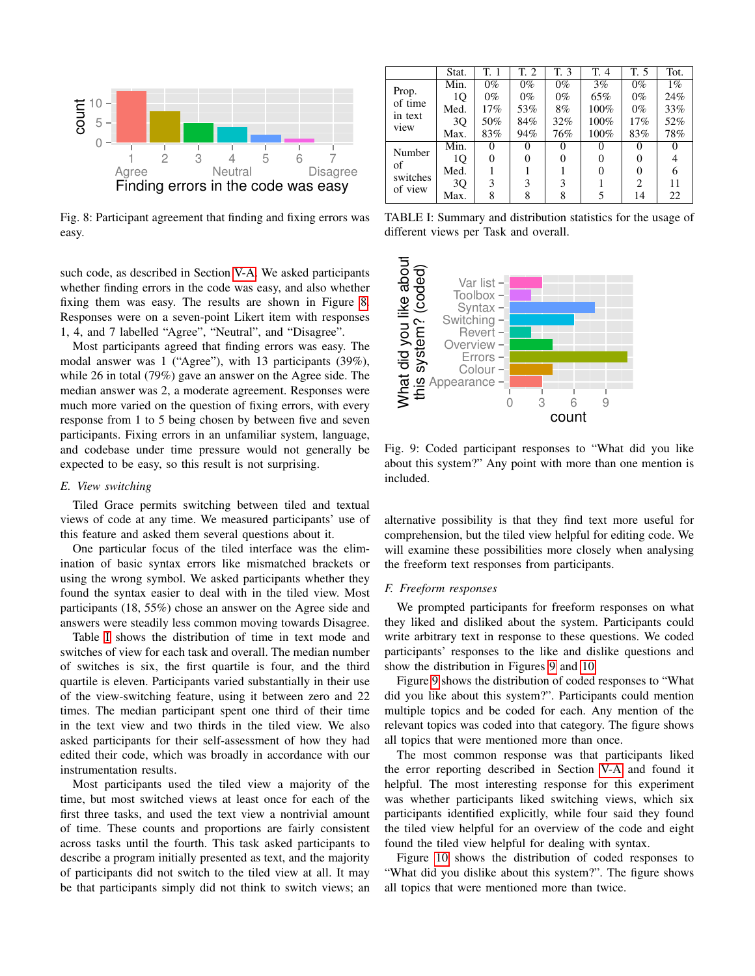<span id="page-6-0"></span>

Fig. 8: Participant agreement that finding and fixing errors was easy.

such code, as described in Section [V-A.](#page-2-3) We asked participants whether finding errors in the code was easy, and also whether fixing them was easy. The results are shown in Figure [8.](#page-6-0) Responses were on a seven-point Likert item with responses 1, 4, and 7 labelled "Agree", "Neutral", and "Disagree".

Most participants agreed that finding errors was easy. The modal answer was 1 ("Agree"), with 13 participants (39%), while 26 in total (79%) gave an answer on the Agree side. The median answer was 2, a moderate agreement. Responses were much more varied on the question of fixing errors, with every response from 1 to 5 being chosen by between five and seven participants. Fixing errors in an unfamiliar system, language, and codebase under time pressure would not generally be expected to be easy, so this result is not surprising.

## *E. View switching*

Tiled Grace permits switching between tiled and textual views of code at any time. We measured participants' use of this feature and asked them several questions about it.

One particular focus of the tiled interface was the elimination of basic syntax errors like mismatched brackets or using the wrong symbol. We asked participants whether they found the syntax easier to deal with in the tiled view. Most participants (18, 55%) chose an answer on the Agree side and answers were steadily less common moving towards Disagree.

Table [I](#page-6-1) shows the distribution of time in text mode and switches of view for each task and overall. The median number of switches is six, the first quartile is four, and the third quartile is eleven. Participants varied substantially in their use of the view-switching feature, using it between zero and 22 times. The median participant spent one third of their time in the text view and two thirds in the tiled view. We also asked participants for their self-assessment of how they had edited their code, which was broadly in accordance with our instrumentation results.

Most participants used the tiled view a majority of the time, but most switched views at least once for each of the first three tasks, and used the text view a nontrivial amount of time. These counts and proportions are fairly consistent across tasks until the fourth. This task asked participants to describe a program initially presented as text, and the majority of participants did not switch to the tiled view at all. It may be that participants simply did not think to switch views; an

<span id="page-6-1"></span>

|                                     | Stat. | T. 1  | T. 2  | T. 3     | T. 4     | T. 5  | Tot.              |
|-------------------------------------|-------|-------|-------|----------|----------|-------|-------------------|
| Prop.<br>of time<br>in text<br>view | Min.  | $0\%$ | $0\%$ | $0\%$    | $3\%$    | $0\%$ | $1\%$             |
|                                     | 1Q    | $0\%$ | $0\%$ | $0\%$    | 65%      | $0\%$ | 24%               |
|                                     | Med.  | 17%   | 53%   | 8%       | 100%     | $0\%$ | 33%               |
|                                     | 3Q    | 50%   | 84%   | 32%      | 100%     | 17%   | 52%               |
|                                     | Max.  | 83%   | 94%   | 76%      | 100%     | 83%   | 78%               |
| Number<br>οf<br>switches<br>of view | Min.  | 0     | 0     | $\theta$ | $\theta$ | 0     | $\mathbf{\Omega}$ |
|                                     | 1Q    | 0     | 0     |          | 0        | 0     |                   |
|                                     | Med.  |       |       |          | 0        | 0     | 6                 |
|                                     | 3Q    | 3     | 3     | 3        |          | 2     | 11                |
|                                     | Max.  | 8     | 8     |          | 5        | 14    | 22                |

TABLE I: Summary and distribution statistics for the usage of different views per Task and overall.

<span id="page-6-2"></span>

Fig. 9: Coded participant responses to "What did you like about this system?" Any point with more than one mention is included.

alternative possibility is that they find text more useful for comprehension, but the tiled view helpful for editing code. We will examine these possibilities more closely when analysing the freeform text responses from participants.

# *F. Freeform responses*

We prompted participants for freeform responses on what they liked and disliked about the system. Participants could write arbitrary text in response to these questions. We coded participants' responses to the like and dislike questions and show the distribution in Figures [9](#page-6-2) and [10.](#page-7-1)

Figure [9](#page-6-2) shows the distribution of coded responses to "What did you like about this system?". Participants could mention multiple topics and be coded for each. Any mention of the relevant topics was coded into that category. The figure shows all topics that were mentioned more than once.

The most common response was that participants liked the error reporting described in Section [V-A](#page-2-3) and found it helpful. The most interesting response for this experiment was whether participants liked switching views, which six participants identified explicitly, while four said they found the tiled view helpful for an overview of the code and eight found the tiled view helpful for dealing with syntax.

Figure [10](#page-7-1) shows the distribution of coded responses to "What did you dislike about this system?". The figure shows all topics that were mentioned more than twice.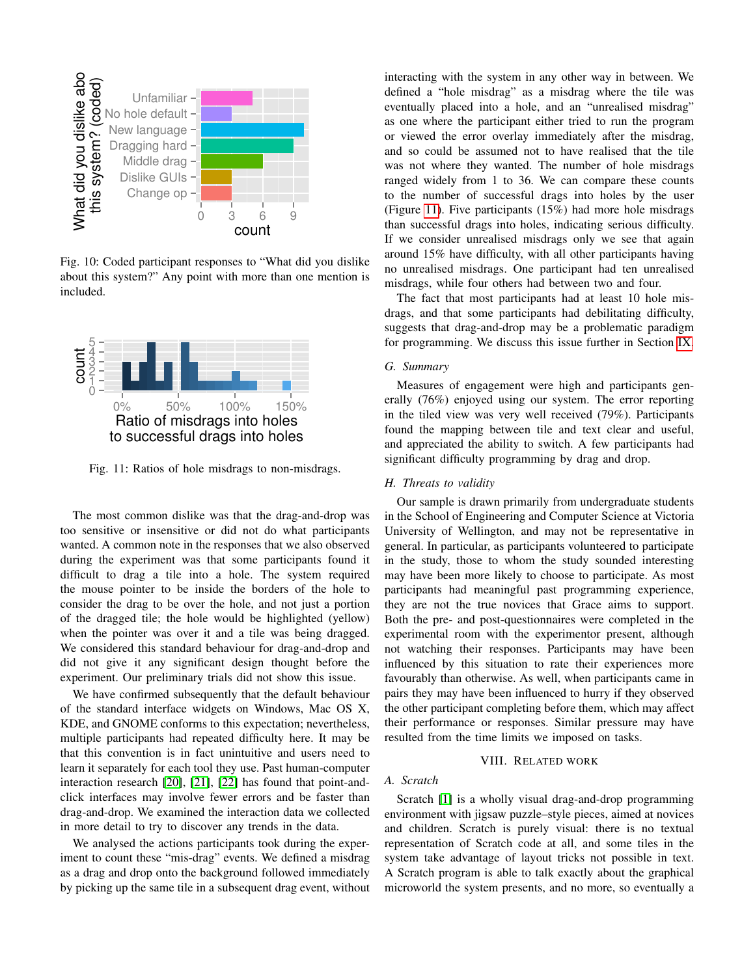<span id="page-7-1"></span>

Fig. 10: Coded participant responses to "What did you dislike about this system?" Any point with more than one mention is included.

<span id="page-7-2"></span>

Fig. 11: Ratios of hole misdrags to non-misdrags.

The most common dislike was that the drag-and-drop was too sensitive or insensitive or did not do what participants wanted. A common note in the responses that we also observed during the experiment was that some participants found it difficult to drag a tile into a hole. The system required the mouse pointer to be inside the borders of the hole to consider the drag to be over the hole, and not just a portion of the dragged tile; the hole would be highlighted (yellow) when the pointer was over it and a tile was being dragged. We considered this standard behaviour for drag-and-drop and did not give it any significant design thought before the experiment. Our preliminary trials did not show this issue.

We have confirmed subsequently that the default behaviour of the standard interface widgets on Windows, Mac OS X, KDE, and GNOME conforms to this expectation; nevertheless, multiple participants had repeated difficulty here. It may be that this convention is in fact unintuitive and users need to learn it separately for each tool they use. Past human-computer interaction research [\[20\]](#page-9-20), [\[21\]](#page-9-21), [\[22\]](#page-9-22) has found that point-andclick interfaces may involve fewer errors and be faster than drag-and-drop. We examined the interaction data we collected in more detail to try to discover any trends in the data.

We analysed the actions participants took during the experiment to count these "mis-drag" events. We defined a misdrag as a drag and drop onto the background followed immediately by picking up the same tile in a subsequent drag event, without interacting with the system in any other way in between. We defined a "hole misdrag" as a misdrag where the tile was eventually placed into a hole, and an "unrealised misdrag" as one where the participant either tried to run the program or viewed the error overlay immediately after the misdrag, and so could be assumed not to have realised that the tile was not where they wanted. The number of hole misdrags ranged widely from 1 to 36. We can compare these counts to the number of successful drags into holes by the user (Figure [11\)](#page-7-2). Five participants (15%) had more hole misdrags than successful drags into holes, indicating serious difficulty. If we consider unrealised misdrags only we see that again around 15% have difficulty, with all other participants having no unrealised misdrags. One participant had ten unrealised misdrags, while four others had between two and four.

The fact that most participants had at least 10 hole misdrags, and that some participants had debilitating difficulty, suggests that drag-and-drop may be a problematic paradigm for programming. We discuss this issue further in Section [IX.](#page-8-0)

## *G. Summary*

Measures of engagement were high and participants generally (76%) enjoyed using our system. The error reporting in the tiled view was very well received (79%). Participants found the mapping between tile and text clear and useful, and appreciated the ability to switch. A few participants had significant difficulty programming by drag and drop.

# *H. Threats to validity*

Our sample is drawn primarily from undergraduate students in the School of Engineering and Computer Science at Victoria University of Wellington, and may not be representative in general. In particular, as participants volunteered to participate in the study, those to whom the study sounded interesting may have been more likely to choose to participate. As most participants had meaningful past programming experience, they are not the true novices that Grace aims to support. Both the pre- and post-questionnaires were completed in the experimental room with the experimentor present, although not watching their responses. Participants may have been influenced by this situation to rate their experiences more favourably than otherwise. As well, when participants came in pairs they may have been influenced to hurry if they observed the other participant completing before them, which may affect their performance or responses. Similar pressure may have resulted from the time limits we imposed on tasks.

## VIII. RELATED WORK

#### <span id="page-7-0"></span>*A. Scratch*

Scratch [\[1\]](#page-9-0) is a wholly visual drag-and-drop programming environment with jigsaw puzzle–style pieces, aimed at novices and children. Scratch is purely visual: there is no textual representation of Scratch code at all, and some tiles in the system take advantage of layout tricks not possible in text. A Scratch program is able to talk exactly about the graphical microworld the system presents, and no more, so eventually a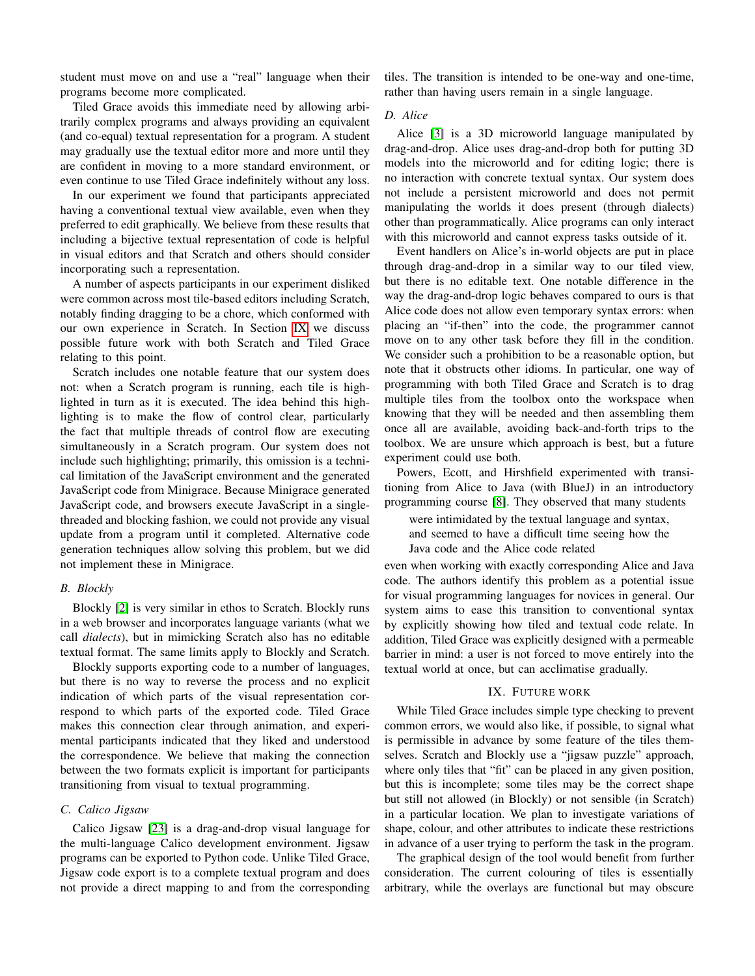student must move on and use a "real" language when their programs become more complicated.

Tiled Grace avoids this immediate need by allowing arbitrarily complex programs and always providing an equivalent (and co-equal) textual representation for a program. A student may gradually use the textual editor more and more until they are confident in moving to a more standard environment, or even continue to use Tiled Grace indefinitely without any loss.

In our experiment we found that participants appreciated having a conventional textual view available, even when they preferred to edit graphically. We believe from these results that including a bijective textual representation of code is helpful in visual editors and that Scratch and others should consider incorporating such a representation.

A number of aspects participants in our experiment disliked were common across most tile-based editors including Scratch, notably finding dragging to be a chore, which conformed with our own experience in Scratch. In Section [IX](#page-8-0) we discuss possible future work with both Scratch and Tiled Grace relating to this point.

Scratch includes one notable feature that our system does not: when a Scratch program is running, each tile is highlighted in turn as it is executed. The idea behind this highlighting is to make the flow of control clear, particularly the fact that multiple threads of control flow are executing simultaneously in a Scratch program. Our system does not include such highlighting; primarily, this omission is a technical limitation of the JavaScript environment and the generated JavaScript code from Minigrace. Because Minigrace generated JavaScript code, and browsers execute JavaScript in a singlethreaded and blocking fashion, we could not provide any visual update from a program until it completed. Alternative code generation techniques allow solving this problem, but we did not implement these in Minigrace.

## *B. Blockly*

Blockly [\[2\]](#page-9-1) is very similar in ethos to Scratch. Blockly runs in a web browser and incorporates language variants (what we call *dialects*), but in mimicking Scratch also has no editable textual format. The same limits apply to Blockly and Scratch.

Blockly supports exporting code to a number of languages, but there is no way to reverse the process and no explicit indication of which parts of the visual representation correspond to which parts of the exported code. Tiled Grace makes this connection clear through animation, and experimental participants indicated that they liked and understood the correspondence. We believe that making the connection between the two formats explicit is important for participants transitioning from visual to textual programming.

#### *C. Calico Jigsaw*

Calico Jigsaw [\[23\]](#page-9-23) is a drag-and-drop visual language for the multi-language Calico development environment. Jigsaw programs can be exported to Python code. Unlike Tiled Grace, Jigsaw code export is to a complete textual program and does not provide a direct mapping to and from the corresponding tiles. The transition is intended to be one-way and one-time, rather than having users remain in a single language.

# *D. Alice*

Alice [\[3\]](#page-9-2) is a 3D microworld language manipulated by drag-and-drop. Alice uses drag-and-drop both for putting 3D models into the microworld and for editing logic; there is no interaction with concrete textual syntax. Our system does not include a persistent microworld and does not permit manipulating the worlds it does present (through dialects) other than programmatically. Alice programs can only interact with this microworld and cannot express tasks outside of it.

Event handlers on Alice's in-world objects are put in place through drag-and-drop in a similar way to our tiled view, but there is no editable text. One notable difference in the way the drag-and-drop logic behaves compared to ours is that Alice code does not allow even temporary syntax errors: when placing an "if-then" into the code, the programmer cannot move on to any other task before they fill in the condition. We consider such a prohibition to be a reasonable option, but note that it obstructs other idioms. In particular, one way of programming with both Tiled Grace and Scratch is to drag multiple tiles from the toolbox onto the workspace when knowing that they will be needed and then assembling them once all are available, avoiding back-and-forth trips to the toolbox. We are unsure which approach is best, but a future experiment could use both.

Powers, Ecott, and Hirshfield experimented with transitioning from Alice to Java (with BlueJ) in an introductory programming course [\[8\]](#page-9-7). They observed that many students

were intimidated by the textual language and syntax, and seemed to have a difficult time seeing how the Java code and the Alice code related

even when working with exactly corresponding Alice and Java code. The authors identify this problem as a potential issue for visual programming languages for novices in general. Our system aims to ease this transition to conventional syntax by explicitly showing how tiled and textual code relate. In addition, Tiled Grace was explicitly designed with a permeable barrier in mind: a user is not forced to move entirely into the textual world at once, but can acclimatise gradually.

## IX. FUTURE WORK

<span id="page-8-0"></span>While Tiled Grace includes simple type checking to prevent common errors, we would also like, if possible, to signal what is permissible in advance by some feature of the tiles themselves. Scratch and Blockly use a "jigsaw puzzle" approach, where only tiles that "fit" can be placed in any given position, but this is incomplete; some tiles may be the correct shape but still not allowed (in Blockly) or not sensible (in Scratch) in a particular location. We plan to investigate variations of shape, colour, and other attributes to indicate these restrictions in advance of a user trying to perform the task in the program.

The graphical design of the tool would benefit from further consideration. The current colouring of tiles is essentially arbitrary, while the overlays are functional but may obscure